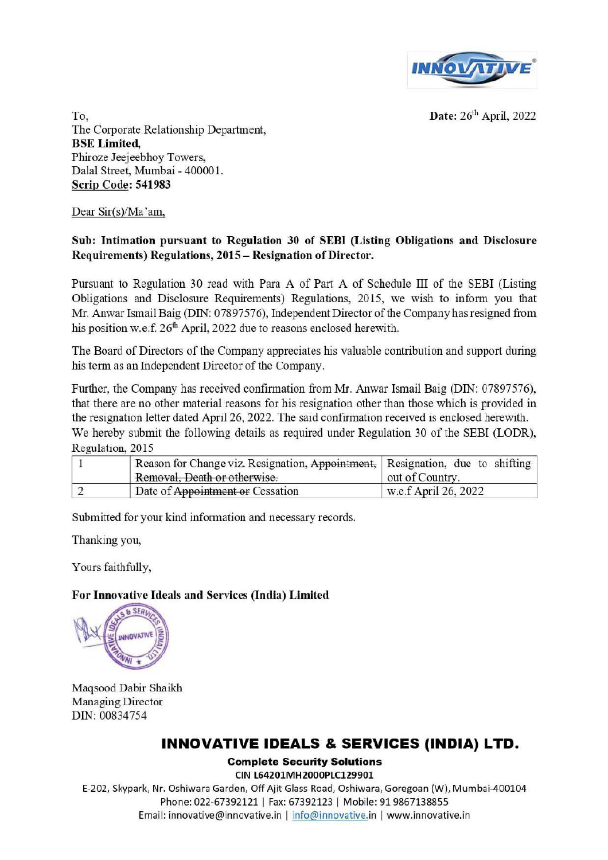

Date: 26'h April, 2022

To, The Corporate Relationship Department, BSE Limited, Phiroze Jeejeebhoy Towers, Dalal Street, Mumbai - 40000 1. Scrip Code: 541983

Dear Sir(s)/Ma 'am,

## Sub: Intimation pursuant to Regulation 30 of SEBI (Listing Obligations and Disclosure Requirements) Regulations, 2015 - Resignation of Director.

Pursuant to Regulation 30 read with Para A of Part A of Schedule ill of the SEBI (Listing Obligations and Disclosure Requirements) Regulations, 2015, we wish to inform you that Mr. Anwar Ismail Baig (DIN: 07897576), Independent Director of the Company has resigned from his position w.e.f. 26<sup>th</sup> April, 2022 due to reasons enclosed herewith.

The Board of Directors of the Company appreciates his valuable contribution and support during his term as an Independent Director of the Company.

Further, the Company has received confirmation from Mr. Anwar Ismail Baig (DIN: 07897576), that there are no other material reasons for his resignation other than those which is provided in the resignation letter dated April 26, 2022. The said confirmation received is enclosed herewith. We hereby submit the following details as required under Regulation 30 of the SEBI (LODR), Regulation, 2015

| Reason for Change viz. Resignation, Appointment, Resignation, due to shifting |                      |
|-------------------------------------------------------------------------------|----------------------|
| Removal, Death or otherwise.                                                  | out of Country.      |
| Date of Appointment or Cessation                                              | w.e.f April 26, 2022 |

Submitted for your kind information and necessary records.

Thanking you,

Yours faithfully,

## For Innovative Ideals and Services (India) Limited



Maqsood Dabir Shaikh Managing Director DIN: 00834754

## INNOVATIVE IDEALS & SERVICES (INDIA) LTD.

**Complete Security Solutions** 

(IN l64201MH2000PlClZ9901 E-202, Skypark, Nr. Oshiwara Garden, Off Ajit Glass Road, Oshiwara, Goregoan (W), Mumbai-400104 Phone: 022-67392121 | Fax: 67392123 | Mobile: 91 9867138855 Email: innovative@innovative.in | info@innovative.in | www.innovative.in